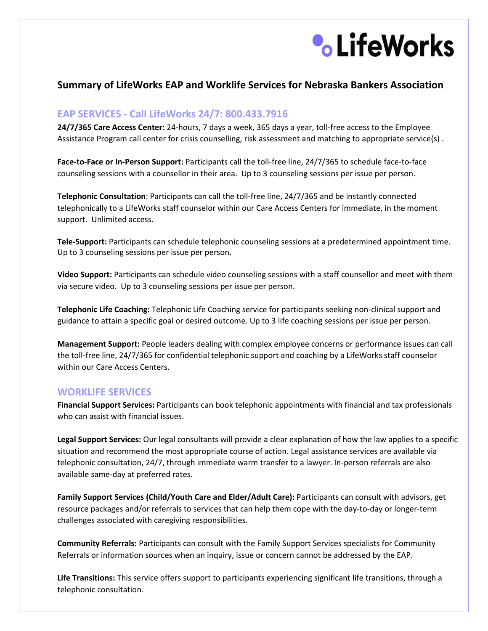

# **Summary of LifeWorks EAP and Worklife Services for Nebraska Bankers Association**

## **EAP SERVICES - Call LifeWorks 24/7: 800.433.7916**

**24/7/365 Care Access Center:** 24-hours, 7 days a week, 365 days a year, toll-free access to the Employee Assistance Program call center for crisis counselling, risk assessment and matching to appropriate service(s) .

**Face-to-Face or In-Person Support:** Participants call the toll-free line, 24/7/365 to schedule face-to-face counseling sessions with a counsellor in their area. Up to 3 counseling sessions per issue per person.

**Telephonic Consultation**: Participants can call the toll-free line, 24/7/365 and be instantly connected telephonically to a LifeWorks staff counselor within our Care Access Centers for immediate, in the moment support. Unlimited access.

**Tele-Support:** Participants can schedule telephonic counseling sessions at a predetermined appointment time. Up to 3 counseling sessions per issue per person.

**Video Support:** Participants can schedule video counseling sessions with a staff counsellor and meet with them via secure video. Up to 3 counseling sessions per issue per person.

**Telephonic Life Coaching:** Telephonic Life Coaching service for participants seeking non-clinical support and guidance to attain a specific goal or desired outcome. Up to 3 life coaching sessions per issue per person.

**Management Support:** People leaders dealing with complex employee concerns or performance issues can call the toll-free line, 24/7/365 for confidential telephonic support and coaching by a LifeWorks staff counselor within our Care Access Centers.

### **WORKLIFE SERVICES**

**Financial Support Services:** Participants can book telephonic appointments with financial and tax professionals who can assist with financial issues.

**Legal Support Services:** Our legal consultants will provide a clear explanation of how the law applies to a specific situation and recommend the most appropriate course of action. Legal assistance services are available via telephonic consultation, 24/7, through immediate warm transfer to a lawyer. In-person referrals are also available same-day at preferred rates.

**Family Support Services (Child/Youth Care and Elder/Adult Care):** Participants can consult with advisors, get resource packages and/or referrals to services that can help them cope with the day-to-day or longer-term challenges associated with caregiving responsibilities.

**Community Referrals:** Participants can consult with the Family Support Services specialists for Community Referrals or information sources when an inquiry, issue or concern cannot be addressed by the EAP.

**Life Transitions:** This service offers support to participants experiencing significant life transitions, through a telephonic consultation.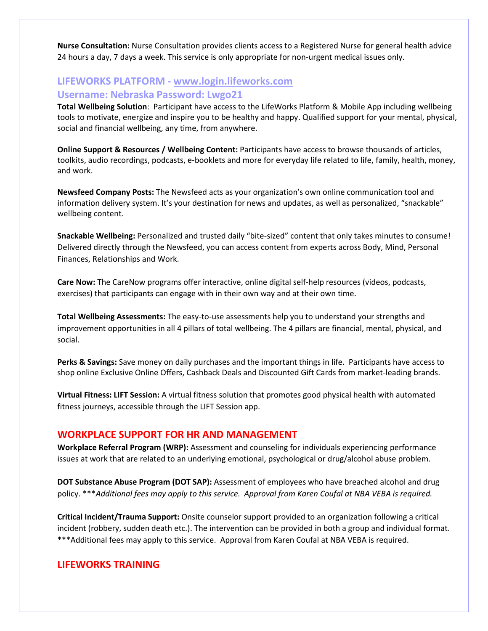**Nurse Consultation:** Nurse Consultation provides clients access to a Registered Nurse for general health advice 24 hours a day, 7 days a week. This service is only appropriate for non-urgent medical issues only.

# **LIFEWORKS PLATFORM - [www.login.lifeworks.com](http://www.login.lifeworks.com/)  Username: Nebraska Password: Lwgo21**

**Total Wellbeing Solution**: Participant have access to the LifeWorks Platform & Mobile App including wellbeing tools to motivate, energize and inspire you to be healthy and happy. Qualified support for your mental, physical, social and financial wellbeing, any time, from anywhere.

**Online Support & Resources / Wellbeing Content:** Participants have access to browse thousands of articles, toolkits, audio recordings, podcasts, e-booklets and more for everyday life related to life, family, health, money, and work.

**Newsfeed Company Posts:** The Newsfeed acts as your organization's own online communication tool and information delivery system. It's your destination for news and updates, as well as personalized, "snackable" wellbeing content.

**Snackable Wellbeing:** Personalized and trusted daily "bite-sized" content that only takes minutes to consume! Delivered directly through the Newsfeed, you can access content from experts across Body, Mind, Personal Finances, Relationships and Work.

**Care Now:** The CareNow programs offer interactive, online digital self-help resources (videos, podcasts, exercises) that participants can engage with in their own way and at their own time.

**Total Wellbeing Assessments:** The easy-to-use assessments help you to understand your strengths and improvement opportunities in all 4 pillars of total wellbeing. The 4 pillars are financial, mental, physical, and social.

**Perks & Savings:** Save money on daily purchases and the important things in life. Participants have access to shop online Exclusive Online Offers, Cashback Deals and Discounted Gift Cards from market-leading brands.

**Virtual Fitness: LIFT Session:** A virtual fitness solution that promotes good physical health with automated fitness journeys, accessible through the LIFT Session app.

### **WORKPLACE SUPPORT FOR HR AND MANAGEMENT**

**Workplace Referral Program (WRP):** Assessment and counseling for individuals experiencing performance issues at work that are related to an underlying emotional, psychological or drug/alcohol abuse problem.

**DOT Substance Abuse Program (DOT SAP):** Assessment of employees who have breached alcohol and drug policy. \*\*\**Additional fees may apply to this service. Approval from Karen Coufal at NBA VEBA is required.*

**Critical Incident/Trauma Support:** Onsite counselor support provided to an organization following a critical incident (robbery, sudden death etc.). The intervention can be provided in both a group and individual format. \*\*\*Additional fees may apply to this service. Approval from Karen Coufal at NBA VEBA is required.

## **LIFEWORKS TRAINING**